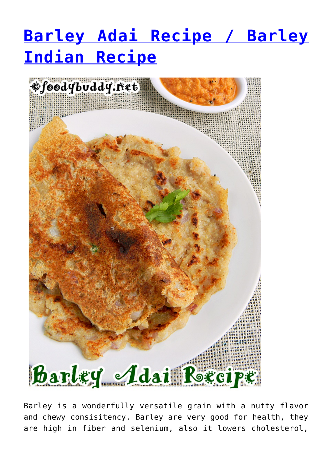## **[Barley Adai Recipe / Barley](https://foodybuddy.net/2015/07/27/barley-adai-recipe-barley-indian-recipe.html) [Indian Recipe](https://foodybuddy.net/2015/07/27/barley-adai-recipe-barley-indian-recipe.html)**



Barley is a wonderfully versatile grain with a nutty flavor and chewy consisitency. Barley are very good for health, they are high in fiber and selenium, also it lowers cholesterol,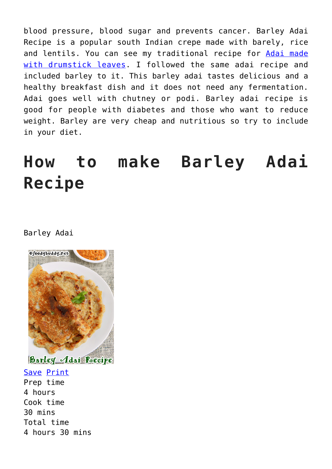blood pressure, blood sugar and prevents cancer. Barley Adai Recipe is a popular south Indian crepe made with barely, rice and lentils. You can see my traditional recipe for [Adai made](http://foodybuddy.net/2014/05/20/adai-recipe-murungaikeerai-adai-drumstickleaves-adai.html) [with drumstick leaves.](http://foodybuddy.net/2014/05/20/adai-recipe-murungaikeerai-adai-drumstickleaves-adai.html) I followed the same adai recipe and included barley to it. This barley adai tastes delicious and a healthy breakfast dish and it does not need any fermentation. Adai goes well with chutney or podi. Barley adai recipe is good for people with diabetes and those who want to reduce weight. Barley are very cheap and nutritious so try to include in your diet.

## **How to make Barley Adai Recipe**

## Barley Adai



Save [Print](https://foodybuddy.net/easyrecipe-print/2934-0/) Prep time 4 hours Cook time 30 mins Total time 4 hours 30 mins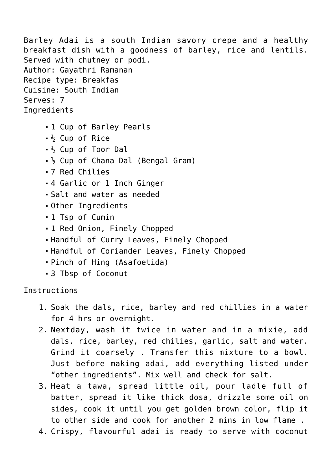Barley Adai is a south Indian savory crepe and a healthy breakfast dish with a goodness of barley, rice and lentils. Served with chutney or podi. Author: Gayathri Ramanan Recipe type: Breakfas Cuisine: South Indian Serves: 7 Ingredients

- 1 Cup of Barley Pearls
- ½ Cup of Rice
- $\frac{1}{2}$  Cup of Toor Dal
- $\frac{1}{2}$  Cup of Chana Dal (Bengal Gram)
- 7 Red Chilies
- 4 Garlic or 1 Inch Ginger
- Salt and water as needed
- Other Ingredients
- 1 Tsp of Cumin
- 1 Red Onion, Finely Chopped
- Handful of Curry Leaves, Finely Chopped
- Handful of Coriander Leaves, Finely Chopped
- Pinch of Hing (Asafoetida)
- 3 Tbsp of Coconut

Instructions

- 1. Soak the dals, rice, barley and red chillies in a water for 4 hrs or overnight.
- 2. Nextday, wash it twice in water and in a mixie, add dals, rice, barley, red chilies, garlic, salt and water. Grind it coarsely . Transfer this mixture to a bowl. Just before making adai, add everything listed under "other ingredients". Mix well and check for salt.
- 3. Heat a tawa, spread little oil, pour ladle full of batter, spread it like thick dosa, drizzle some oil on sides, cook it until you get golden brown color, flip it to other side and cook for another 2 mins in low flame .
- 4. Crispy, flavourful adai is ready to serve with coconut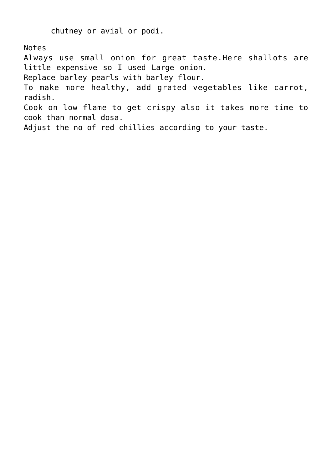chutney or avial or podi.

Notes

Always use small onion for great taste.Here shallots are little expensive so I used Large onion.

Replace barley pearls with barley flour.

To make more healthy, add grated vegetables like carrot, radish.

Cook on low flame to get crispy also it takes more time to cook than normal dosa.

Adjust the no of red chillies according to your taste.